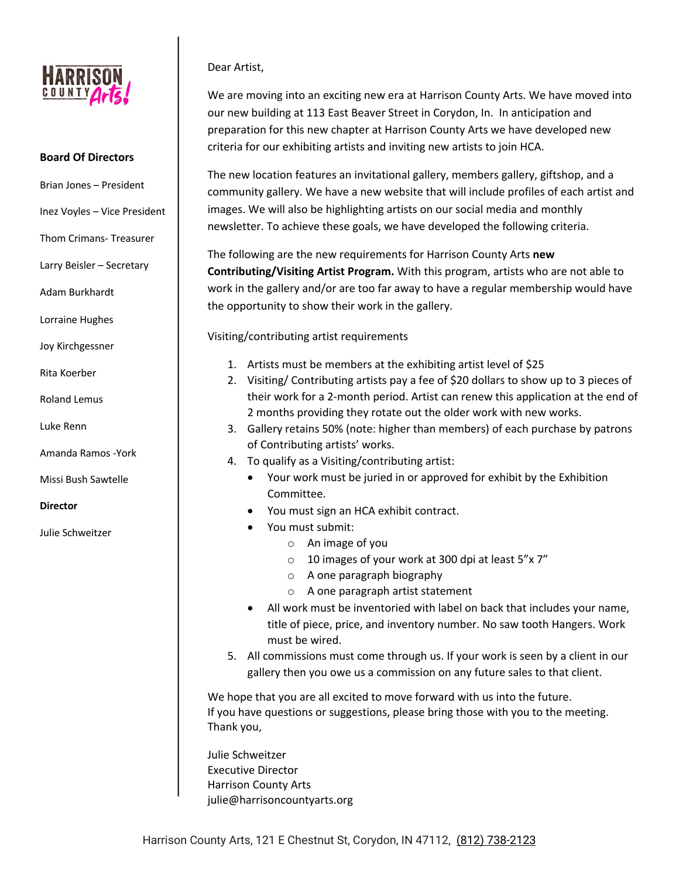

#### **Board Of Directors**

- Brian Jones President
- Inez Voyles Vice President
- Thom Crimans- Treasurer
- Larry Beisler Secretary
- Adam Burkhardt
- Lorraine Hughes
- Joy Kirchgessner
- Rita Koerber
- Roland Lemus
- Luke Renn
- Amanda Ramos -York
- Missi Bush Sawtelle
- **Director**
- Julie Schweitzer

#### Dear Artist,

We are moving into an exciting new era at Harrison County Arts. We have moved into our new building at 113 East Beaver Street in Corydon, In. In anticipation and preparation for this new chapter at Harrison County Arts we have developed new criteria for our exhibiting artists and inviting new artists to join HCA.

The new location features an invitational gallery, members gallery, giftshop, and a community gallery. We have a new website that will include profiles of each artist and images. We will also be highlighting artists on our social media and monthly newsletter. To achieve these goals, we have developed the following criteria.

The following are the new requirements for Harrison County Arts **new Contributing/Visiting Artist Program.** With this program, artists who are not able to work in the gallery and/or are too far away to have a regular membership would have the opportunity to show their work in the gallery.

Visiting/contributing artist requirements

- 1. Artists must be members at the exhibiting artist level of \$25
- 2. Visiting/ Contributing artists pay a fee of \$20 dollars to show up to 3 pieces of their work for a 2-month period. Artist can renew this application at the end of 2 months providing they rotate out the older work with new works.
- 3. Gallery retains 50% (note: higher than members) of each purchase by patrons of Contributing artists' works.
- 4. To qualify as a Visiting/contributing artist:
	- Your work must be juried in or approved for exhibit by the Exhibition Committee.
	- You must sign an HCA exhibit contract.
	- You must submit:
		- o An image of you
		- o 10 images of your work at 300 dpi at least 5"x 7"
		- o A one paragraph biography
		- o A one paragraph artist statement
	- All work must be inventoried with label on back that includes your name, title of piece, price, and inventory number. No saw tooth Hangers. Work must be wired.
- 5. All commissions must come through us. If your work is seen by a client in our gallery then you owe us a commission on any future sales to that client.

We hope that you are all excited to move forward with us into the future. If you have questions or suggestions, please bring those with you to the meeting. Thank you,

Julie Schweitzer Executive Director Harrison County Arts julie@harrisoncountyarts.org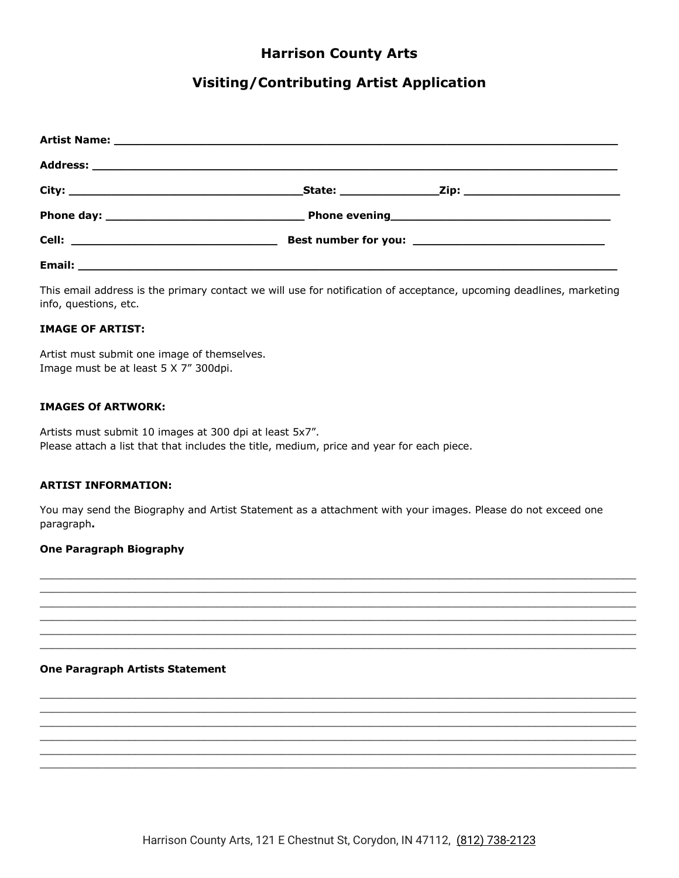## **Harrison County Arts**

## **Visiting/Contributing Artist Application**

|        | Best number for you: _________________________________ |  |
|--------|--------------------------------------------------------|--|
| Email: |                                                        |  |

This email address is the primary contact we will use for notification of acceptance, upcoming deadlines, marketing info, questions, etc.

#### **IMAGE OF ARTIST:**

Artist must submit one image of themselves. Image must be at least 5 X 7" 300dpi.

#### **IMAGES Of ARTWORK:**

Artists must submit 10 images at 300 dpi at least 5x7". Please attach a list that that includes the title, medium, price and year for each piece.

#### **ARTIST INFORMATION:**

You may send the Biography and Artist Statement as a attachment with your images. Please do not exceed one paragraph.

#### **One Paragraph Biography**

#### **One Paragraph Artists Statement**